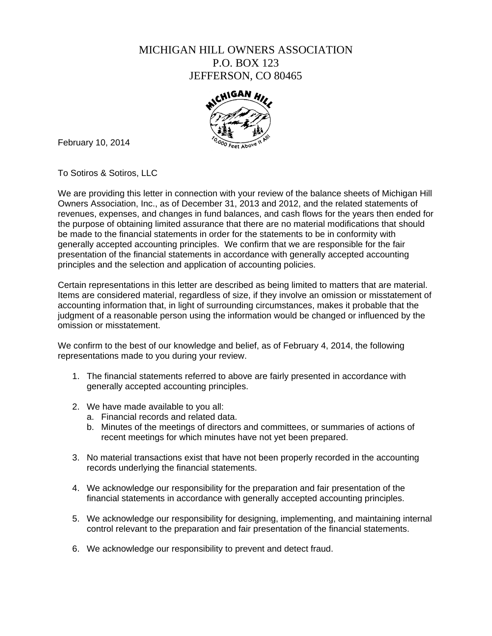## MICHIGAN HILL OWNERS ASSOCIATION P.O. BOX 123 JEFFERSON, CO 80465



February 10, 2014

To Sotiros & Sotiros, LLC

We are providing this letter in connection with your review of the balance sheets of Michigan Hill Owners Association, Inc., as of December 31, 2013 and 2012, and the related statements of revenues, expenses, and changes in fund balances, and cash flows for the years then ended for the purpose of obtaining limited assurance that there are no material modifications that should be made to the financial statements in order for the statements to be in conformity with generally accepted accounting principles. We confirm that we are responsible for the fair presentation of the financial statements in accordance with generally accepted accounting principles and the selection and application of accounting policies.

Certain representations in this letter are described as being limited to matters that are material. Items are considered material, regardless of size, if they involve an omission or misstatement of accounting information that, in light of surrounding circumstances, makes it probable that the judgment of a reasonable person using the information would be changed or influenced by the omission or misstatement.

We confirm to the best of our knowledge and belief, as of February 4, 2014, the following representations made to you during your review.

- 1. The financial statements referred to above are fairly presented in accordance with generally accepted accounting principles.
- 2. We have made available to you all:
	- a. Financial records and related data.
	- b. Minutes of the meetings of directors and committees, or summaries of actions of recent meetings for which minutes have not yet been prepared.
- 3. No material transactions exist that have not been properly recorded in the accounting records underlying the financial statements.
- 4. We acknowledge our responsibility for the preparation and fair presentation of the financial statements in accordance with generally accepted accounting principles.
- 5. We acknowledge our responsibility for designing, implementing, and maintaining internal control relevant to the preparation and fair presentation of the financial statements.
- 6. We acknowledge our responsibility to prevent and detect fraud.